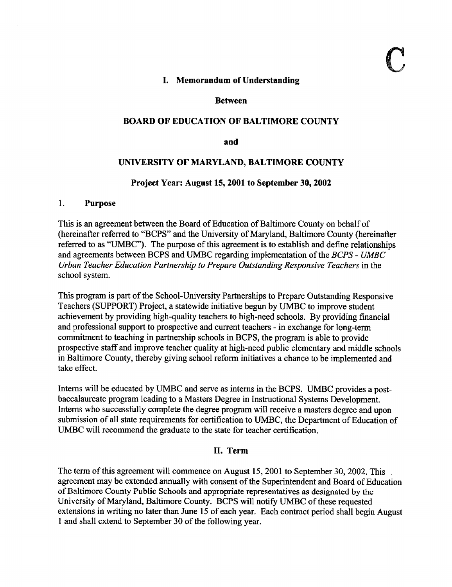## 1. Memorandum of Understanding

#### Between

## BOARD OF EDUCATION OF BALTIMORE COUNTY

and

### UNIVERSITY OF MARYLAND, BALTIMORE COUNTY

#### Project Year: August 15, 2001 to September 30, 2002

#### 1. Purpose

This is an agreement between the Board of Education of Baltimore County on behalf of (hereinafter referred to "BCPS" and the University of Maryland, Baltimore County (hereinafter referred to as "UMBC"). The purpose of this agreement is to establish and define relationships and agreements between BCPS and UMBC regarding implementation of the BCPS - UMBC Urban Teacher Education Partnership to Prepare Outstanding Responsive Teachers in the school system.

This program is part of the School-University Partnerships to Prepare Outstanding Responsive Teachers (SUPPORT) Project, <sup>a</sup> statewide initiative begun by UMBC to improve student achievement by providing high-quality teachers to high-need schools . By providing financial and professional support to prospective and current teachers - in exchange for long-term commitment to teaching in partnership schools in BCPS, the program is able to provide prospective staff and improve teacher quality at high-need public elementary and middle schools in Baltimore County, thereby giving school reform initiatives a chance to be implemented and take effect.

Interns will be educated by UMBC and serve as interns in the BCPS . UMBC provides <sup>a</sup> postbaccalaureate program leading to a Masters Degree in Instructional Systems Development. Intems who successfully complete the degree program will receive a masters degree and upon submission of all state requirements for certification to UMBC, the Department of Education of UMBC will recommend the graduate to the state for teacher certification.

#### II. Term

The term of this agreement will commence on August 15, 2001 to September 30, 2002. This agreement may be extended annually with consent of the Superintendent and Board of Education ofBaltimore County Public Schools and appropriate representatives as designated by the University of Maryland, Baltimore County. BCPS will notify UMBC of these requested extensions in writing no later than June 15 of each year. Each contract period shall begin August <sup>1</sup> and shall extend to September 30 of the following year.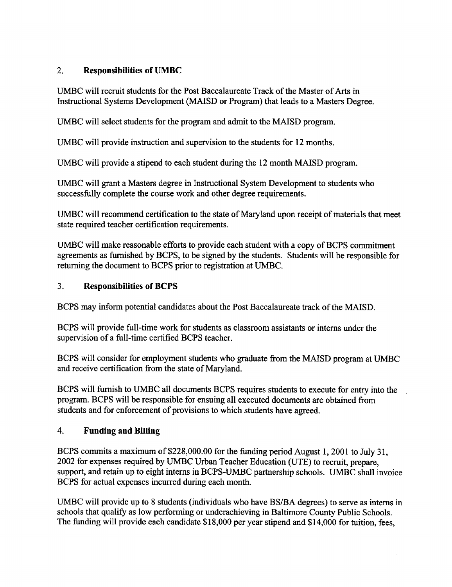# 2. Responsibilities of UMBC

UMBC will recruit students for the Post Baccalaureate Track of the Master of Arts in Instructional Systems Development (MAISD or Program) that leads to a Masters Degree.

UMBC will select students for the program and admit to the MAISD program.

UMBC will provide instruction and supervision to the students for <sup>12</sup> months.

UMBC will provide <sup>a</sup> stipend to each student during the <sup>12</sup> month MAISD program.

UMBC will grant <sup>a</sup> Masters degree in Instructional System Development to students who successfully complete the course work and other degree requirements.

UMBC will recommend certification to the state of Maryland upon receipt of materials that meet state required teacher certification requirements.

UMBC will make reasonable efforts to provide each student with a copy of BCPS commitment agreements as furnished by BCPS, to be signed by the students. Students will be responsible for returning the document to BCPS prior to registration at UMBC .

## <sup>3</sup> . Responsibilities of BCPS

BCPS may inform potential candidates about the Post Baccalaureate track of the MAISD.

BCPS will provide full-time work for students as classroom assistants or interns under the supervision of a full-time certified BCPS teacher.

BCPS will consider for employment students who graduate from the MAISD program at UMBC and receive certification from the state of Maryland.

BCPS will furnish to UMBC all documents BCPS requires students to execute for entry into the program. BCPS will be responsible for ensuing all executed documents are obtained from students and for enforcement of provisions to which students have agreed.

# 4. Funding and Billing

BCPS commits a maximum of \$228,000.00 for the funding period August 1, 2001 to July 31, <sup>2002</sup> for expenses required by UMBC Urban Teacher Education (UTE) to recruit, prepare, support, and retain up to eight interns in BCPS-UMBC partnership schools. UMBC shall invoice BCPS for actual expenses incurred during each month.

UMBC will provide up to <sup>8</sup> students (individuals who have BS/BA degrees) to serve as interns in schools that qualify as low performing or underachieving in Baltimore County Public Schools. The funding will provide each candidate \$18,000 per year stipend and S14,000 for tuition, fees,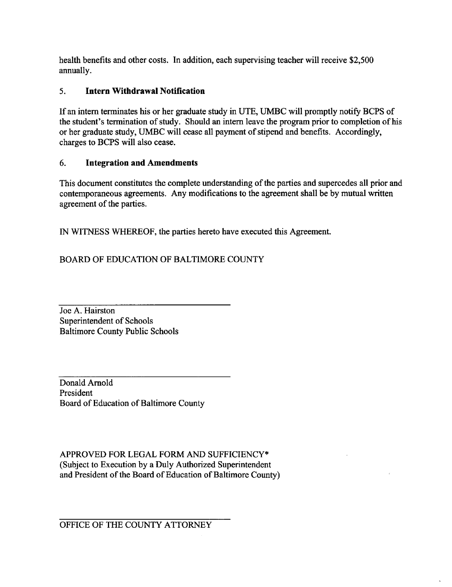health benefits and other costs. In addition, each supervising teacher will receive \$2,500 annually.

# <sup>5</sup> . Intern Withdrawal Notification

If an intern terminates his or her graduate study in UTE, UMBC will promptly notify BCPS of the student's termination of study. Should an intern leave the program prior to completion of his or her graduate study, UMBC will cease all payment of stipend and benefits. Accordingly, charges to BCPS will also cease.

## 6. Integration and Amendments

This document constitutes the complete understanding of the parties and supercedes all prior and contemporaneous agreements. Any modifications to the agreement shall be by mutual written agreement of the parties.

IN WITNESS WHEREOF, the parties hereto have executed this Agreement.

BOARD OF EDUCATION OF BALTIMORE COUNTY

Joe A. Hairston Superintendent of Schools Baltimore County Public Schools

Donald Arnold President Board of Education of Baltimore County

APPROVED FOR LEGAL FORM AND SUFFICIENCY\* (Subject to Execution by a Duly Authorized Superintendent and President of the Board of Education of Baltimore County)

OFFICE OF THE COUNTY ATTORNEY